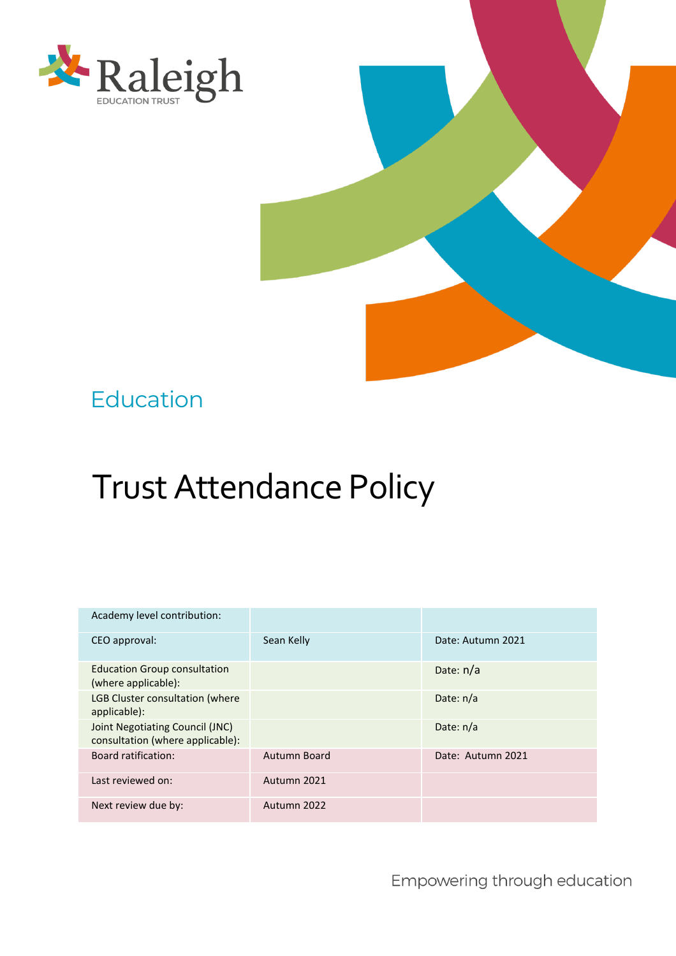



# Education

# Trust Attendance Policy

| Academy level contribution:                                         |              |                   |
|---------------------------------------------------------------------|--------------|-------------------|
| CEO approval:                                                       | Sean Kelly   | Date: Autumn 2021 |
| <b>Education Group consultation</b><br>(where applicable):          |              | Date: $n/a$       |
| <b>LGB Cluster consultation (where</b><br>applicable):              |              | Date: $n/a$       |
| Joint Negotiating Council (JNC)<br>consultation (where applicable): |              | Date: $n/a$       |
| <b>Board ratification:</b>                                          | Autumn Board | Date: Autumn 2021 |
| Last reviewed on:                                                   | Autumn 2021  |                   |
| Next review due by:                                                 | Autumn 2022  |                   |

Empowering through education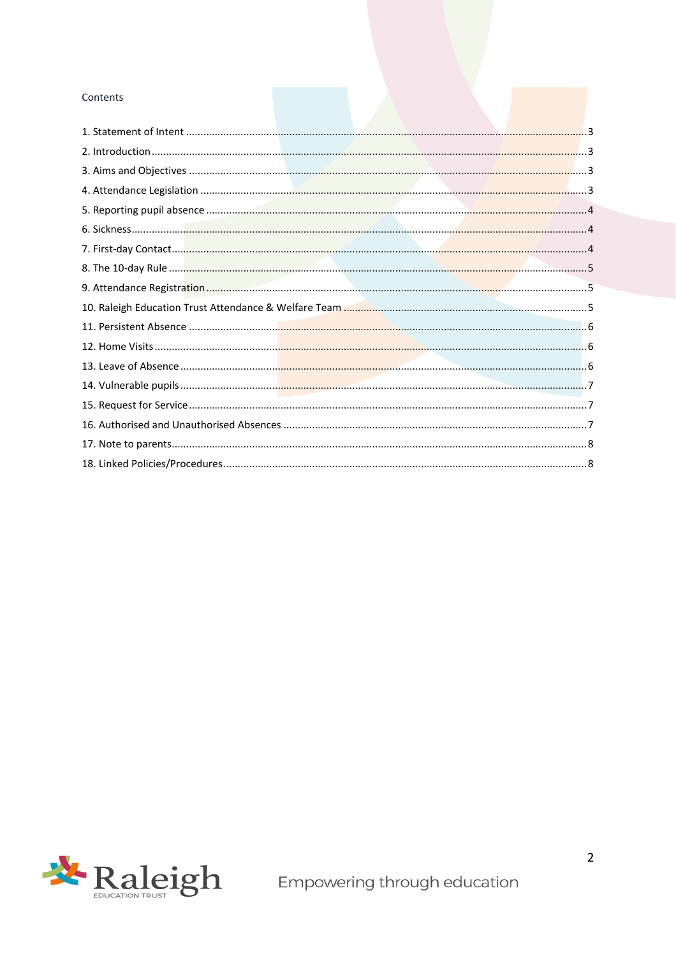#### Contents

<span id="page-1-0"></span>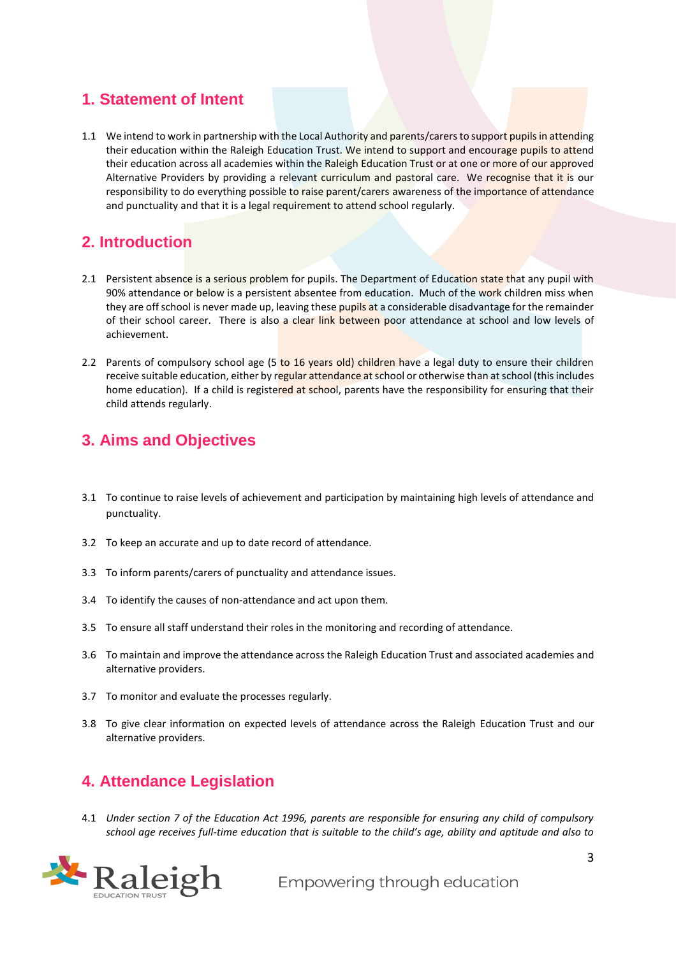#### **1. Statement of Intent**

1.1 We intend to work in partnership with the Local Authority and parents/carers to support pupils in attending their education within the Raleigh Education Trust. We intend to support and encourage pupils to attend their education across all academies within the Raleigh Education Trust or at one or more of our approved Alternative Providers by providing a relevant curriculum and pastoral care. We recognise that it is our responsibility to do everything possible to raise parent/carers awareness of the importance of attendance and punctuality and that it is a legal requirement to attend school regularly.

## <span id="page-2-0"></span>**2. Introduction**

- 2.1 Persistent absence is a serious problem for pupils. The Department of Education state that any pupil with 90% attendance or below is a persistent absentee from education. Much of the work children miss when they are off school is never made up, leaving these pupils at a considerable disadvantage for the remainder of their school career. There is also a clear link between poor attendance at school and low levels of achievement.
- 2.2 Parents of compulsory school age (5 to 16 years old) children have a legal duty to ensure their children receive suitable education, either by regular attendance at school or otherwise than at school (this includes home education). If a child is registered at school, parents have the responsibility for ensuring that their child attends regularly.

## <span id="page-2-1"></span>**3. Aims and Objectives**

- 3.1 To continue to raise levels of achievement and participation by maintaining high levels of attendance and punctuality.
- 3.2 To keep an accurate and up to date record of attendance.
- 3.3 To inform parents/carers of punctuality and attendance issues.
- 3.4 To identify the causes of non-attendance and act upon them.
- 3.5 To ensure all staff understand their roles in the monitoring and recording of attendance.
- 3.6 To maintain and improve the attendance across the Raleigh Education Trust and associated academies and alternative providers.
- 3.7 To monitor and evaluate the processes regularly.
- 3.8 To give clear information on expected levels of attendance across the Raleigh Education Trust and our alternative providers.

## <span id="page-2-2"></span>**4. Attendance Legislation**

4.1 *Under section 7 of the Education Act 1996, parents are responsible for ensuring any child of compulsory school age receives full-time education that is suitable to the child's age, ability and aptitude and also to* 

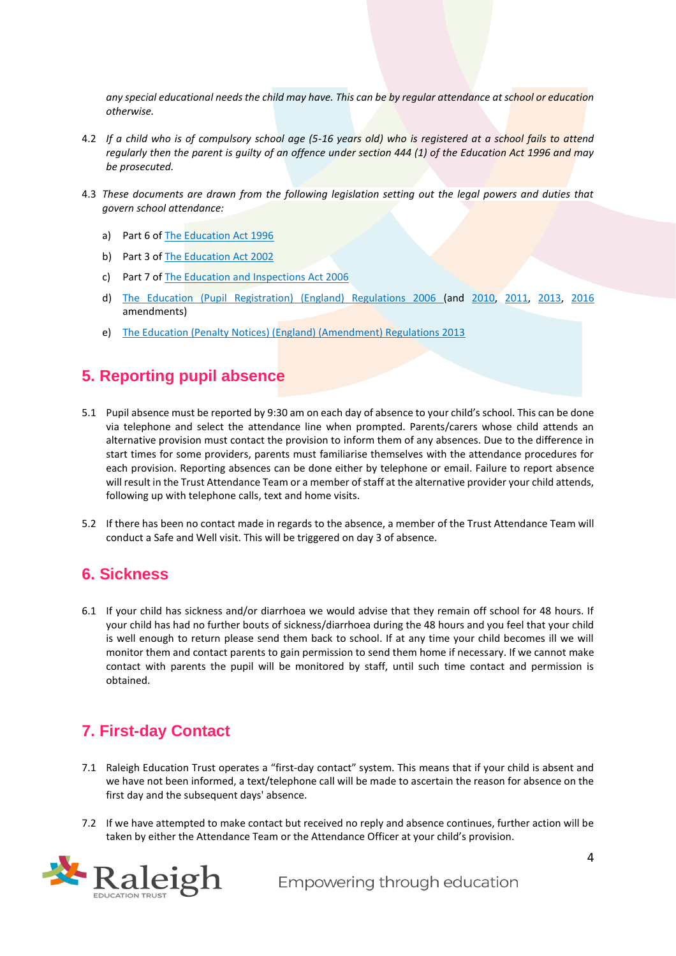*any special educational needs the child may have. This can be by regular attendance at school or education otherwise.*

- 4.2 *If a child who is of compulsory school age (5-16 years old) who is registered at a school fails to attend regularly then the parent is guilty of an offence under section 444 (1) of the Education Act 1996 and may be prosecuted.*
- 4.3 *These documents are drawn from the following legislation setting out the legal powers and duties that govern school attendance:*
	- a) Part 6 of [The Education Act 1996](https://www.legislation.gov.uk/ukpga/1996/56/part/VI/chapter/II)
	- b) Part 3 of [The Education Act 2002](http://www.legislation.gov.uk/ukpga/2002/32/part/3/chapter/3)
	- c) Part 7 of [The Education and Inspections Act 2006](http://www.legislation.gov.uk/ukpga/2006/40/part/7/chapter/2/crossheading/school-attendance)
	- d) [The Education \(Pupil Registration\) \(England\) Regulations 2006](http://www.legislation.gov.uk/uksi/2006/1751/contents/made) (and [2010,](https://www.legislation.gov.uk/uksi/2010/1725/regulation/2/made) [2011,](https://www.legislation.gov.uk/uksi/2011/1625/made) [2013,](https://www.legislation.gov.uk/uksi/2013/756/made) [2016](https://www.legislation.gov.uk/uksi/2016/792/made/data.html) amendments)
	- e) [The Education \(Penalty Notices\) \(England\) \(Amendment\) Regulations 2013](https://www.legislation.gov.uk/uksi/2013/757/regulation/2/made)

#### <span id="page-3-0"></span>**5. Reporting pupil absence**

- 5.1 Pupil absence must be reported by 9:30 am on each day of absence to your child's school. This can be done via telephone and select the attendance line when prompted. Parents/carers whose child attends an alternative provision must contact the provision to inform them of any absences. Due to the difference in start times for some providers, parents must familiarise themselves with the attendance procedures for each provision. Reporting absences can be done either by telephone or email. Failure to report absence will result in the Trust Attendance Team or a member of staff at the alternative provider your child attends, following up with telephone calls, text and home visits.
- 5.2 If there has been no contact made in regards to the absence, a member of the Trust Attendance Team will conduct a Safe and Well visit. This will be triggered on day 3 of absence.

#### <span id="page-3-1"></span>**6. Sickness**

6.1 If your child has sickness and/or diarrhoea we would advise that they remain off school for 48 hours. If your child has had no further bouts of sickness/diarrhoea during the 48 hours and you feel that your child is well enough to return please send them back to school. If at any time your child becomes ill we will monitor them and contact parents to gain permission to send them home if necessary. If we cannot make contact with parents the pupil will be monitored by staff, until such time contact and permission is obtained.

#### <span id="page-3-2"></span>**7. First-day Contact**

- 7.1 Raleigh Education Trust operates a "first-day contact" system. This means that if your child is absent and we have not been informed, a text/telephone call will be made to ascertain the reason for absence on the first day and the subsequent days' absence.
- 7.2 If we have attempted to make contact but received no reply and absence continues, further action will be taken by either the Attendance Team or the Attendance Officer at your child's provision.

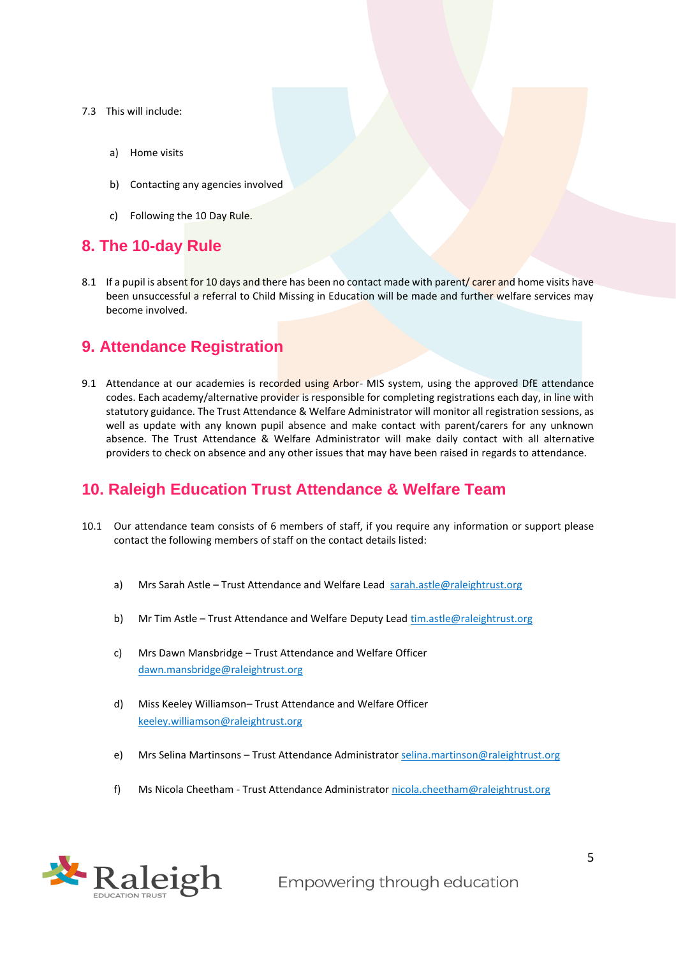#### 7.3 This will include:

- a) Home visits
- b) Contacting any agencies involved
- c) Following the 10 Day Rule.

#### <span id="page-4-0"></span>**8. The 10-day Rule**

8.1 If a pupil is absent for 10 days and there has been no contact made with parent/ carer and home visits have been unsuccessful a referral to Child Missing in Education will be made and further welfare services may become involved.

#### <span id="page-4-1"></span>**9. Attendance Registration**

9.1 Attendance at our academies is recorded using Arbor- MIS system, using the approved DfE attendance codes. Each academy/alternative provider is responsible for completing registrations each day, in line with statutory guidance. The Trust Attendance & Welfare Administrator will monitor all registration sessions, as well as update with any known pupil absence and make contact with parent/carers for any unknown absence. The Trust Attendance & Welfare Administrator will make daily contact with all alternative providers to check on absence and any other issues that may have been raised in regards to attendance.

#### <span id="page-4-2"></span>**10. Raleigh Education Trust Attendance & Welfare Team**

- 10.1 Our attendance team consists of 6 members of staff, if you require any information or support please contact the following members of staff on the contact details listed:
	- a) Mrs Sarah Astle Trust Attendance and Welfare Lead [sarah.astle@raleightrust.org](mailto:sarah.astle@raleightrust.org)
	- b) Mr Tim Astle Trust Attendance and Welfare Deputy Lead [tim.astle@raleightrust.org](mailto:tim.astle@raleightrust.org)
	- c) Mrs Dawn Mansbridge Trust Attendance and Welfare Officer [dawn.mansbridge@raleightrust.org](mailto:dawn.mansbridge@raleightrust.org)
	- d) Miss Keeley Williamson– Trust Attendance and Welfare Officer [keeley.williamson@raleightrust.org](mailto:keeley.williamson@raleightrust.org)
	- e) Mrs Selina Martinsons Trust Attendance Administrator [selina.martinson@raleightrust.org](mailto:selina.martinson@raleightrust.org)
	- f) Ms Nicola Cheetham Trust Attendance Administrator [nicola.cheetham@raleightrust.org](mailto:nicola.cheetham@raleightrust.org)



Empowering through education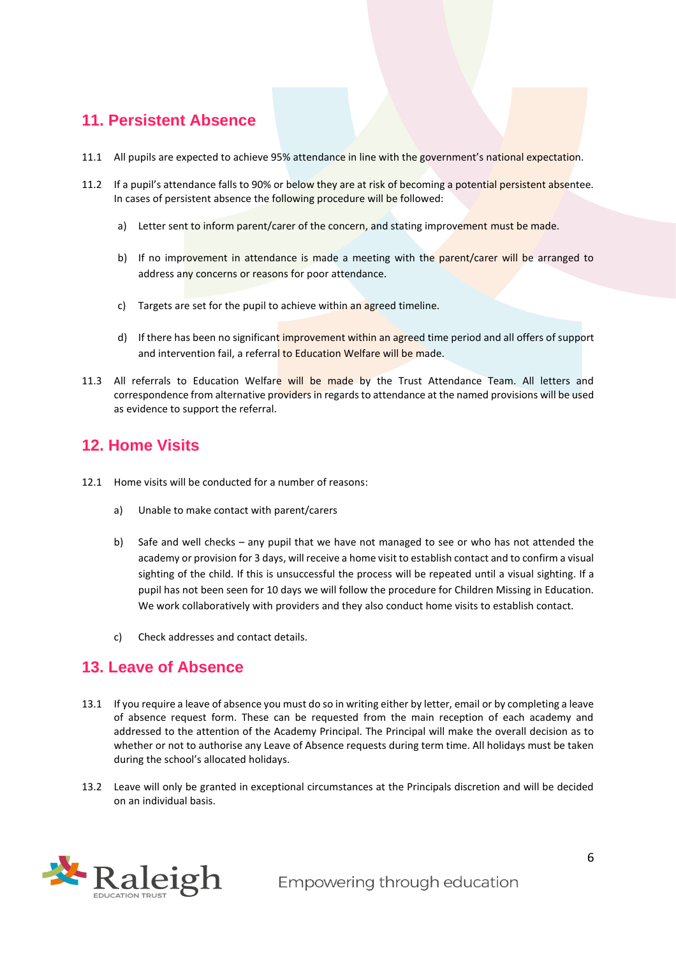#### <span id="page-5-0"></span>**11. Persistent Absence**

- 11.1 All pupils are expected to achieve 95% attendance in line with the government's national expectation.
- 11.2 If a pupil's attendance falls to 90% or below they are at risk of becoming a potential persistent absentee. In cases of persistent absence the following procedure will be followed:
	- a) Letter sent to inform parent/carer of the concern, and stating improvement must be made.
	- b) If no improvement in attendance is made a meeting with the parent/carer will be arranged to address any concerns or reasons for poor attendance.
	- c) Targets are set for the pupil to achieve within an agreed timeline.
	- d) If there has been no significant improvement within an agreed time period and all offers of support and intervention fail, a referral to Education Welfare will be made.
- 11.3 All referrals to Education Welfare will be made by the Trust Attendance Team. All letters and correspondence from alternative providers in regards to attendance at the named provisions will be used as evidence to support the referral.

#### <span id="page-5-1"></span>**12. Home Visits**

- 12.1 Home visits will be conducted for a number of reasons:
	- a) Unable to make contact with parent/carers
	- b) Safe and well checks any pupil that we have not managed to see or who has not attended the academy or provision for 3 days, will receive a home visit to establish contact and to confirm a visual sighting of the child. If this is unsuccessful the process will be repeated until a visual sighting. If a pupil has not been seen for 10 days we will follow the procedure for Children Missing in Education. We work collaboratively with providers and they also conduct home visits to establish contact.
	- c) Check addresses and contact details.

#### <span id="page-5-2"></span>**13. Leave of Absence**

- 13.1 If you require a leave of absence you must do so in writing either by letter, email or by completing a leave of absence request form. These can be requested from the main reception of each academy and addressed to the attention of the Academy Principal. The Principal will make the overall decision as to whether or not to authorise any Leave of Absence requests during term time. All holidays must be taken during the school's allocated holidays.
- 13.2 Leave will only be granted in exceptional circumstances at the Principals discretion and will be decided on an individual basis.

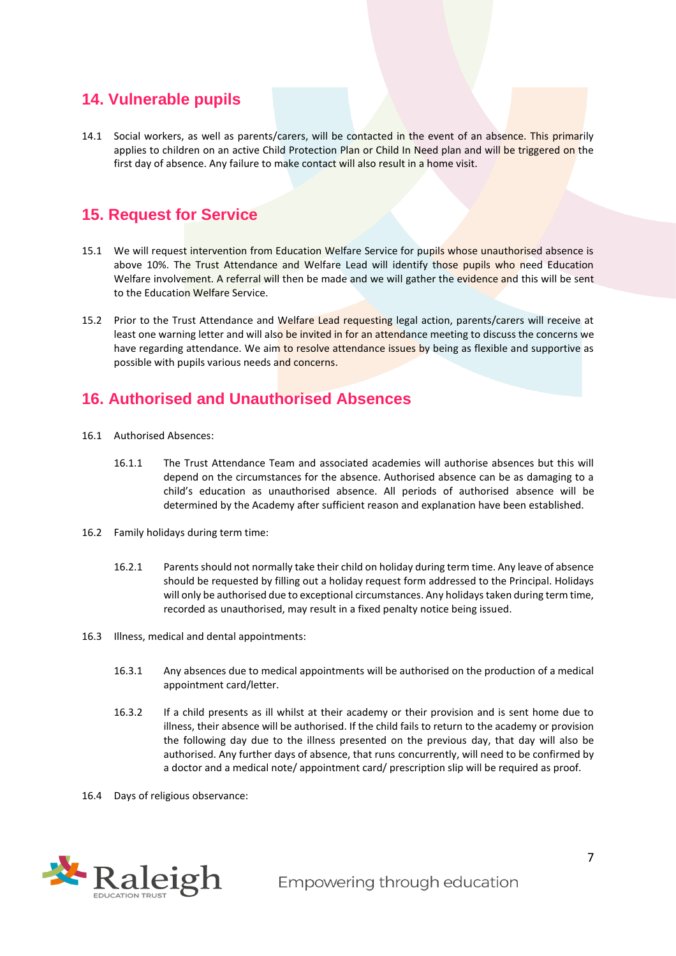#### <span id="page-6-0"></span>**14. Vulnerable pupils**

14.1 Social workers, as well as parents/carers, will be contacted in the event of an absence. This primarily applies to children on an active Child Protection Plan or Child In Need plan and will be triggered on the first day of absence. Any failure to make contact will also result in a home visit.

#### <span id="page-6-1"></span>**15. Request for Service**

- 15.1 We will request intervention from Education Welfare Service for pupils whose unauthorised absence is above 10%. The Trust Attendance and Welfare Lead will identify those pupils who need Education Welfare involvement. A referral will then be made and we will gather the evidence and this will be sent to the Education Welfare Service.
- 15.2 Prior to the Trust Attendance and Welfare Lead requesting legal action, parents/carers will receive at least one warning letter and will also be invited in for an attendance meeting to discuss the concerns we have regarding attendance. We aim to resolve attendance issues by being as flexible and supportive as possible with pupils various needs and concerns.

#### <span id="page-6-2"></span>**16. Authorised and Unauthorised Absences**

- 16.1 Authorised Absences:
	- 16.1.1 The Trust Attendance Team and associated academies will authorise absences but this will depend on the circumstances for the absence. Authorised absence can be as damaging to a child's education as unauthorised absence. All periods of authorised absence will be determined by the Academy after sufficient reason and explanation have been established.
- 16.2 Family holidays during term time:
	- 16.2.1 Parents should not normally take their child on holiday during term time. Any leave of absence should be requested by filling out a holiday request form addressed to the Principal. Holidays will only be authorised due to exceptional circumstances. Any holidays taken during term time, recorded as unauthorised, may result in a fixed penalty notice being issued.
- 16.3 Illness, medical and dental appointments:
	- 16.3.1 Any absences due to medical appointments will be authorised on the production of a medical appointment card/letter.
	- 16.3.2 If a child presents as ill whilst at their academy or their provision and is sent home due to illness, their absence will be authorised. If the child fails to return to the academy or provision the following day due to the illness presented on the previous day, that day will also be authorised. Any further days of absence, that runs concurrently, will need to be confirmed by a doctor and a medical note/ appointment card/ prescription slip will be required as proof.
- 16.4 Days of religious observance: